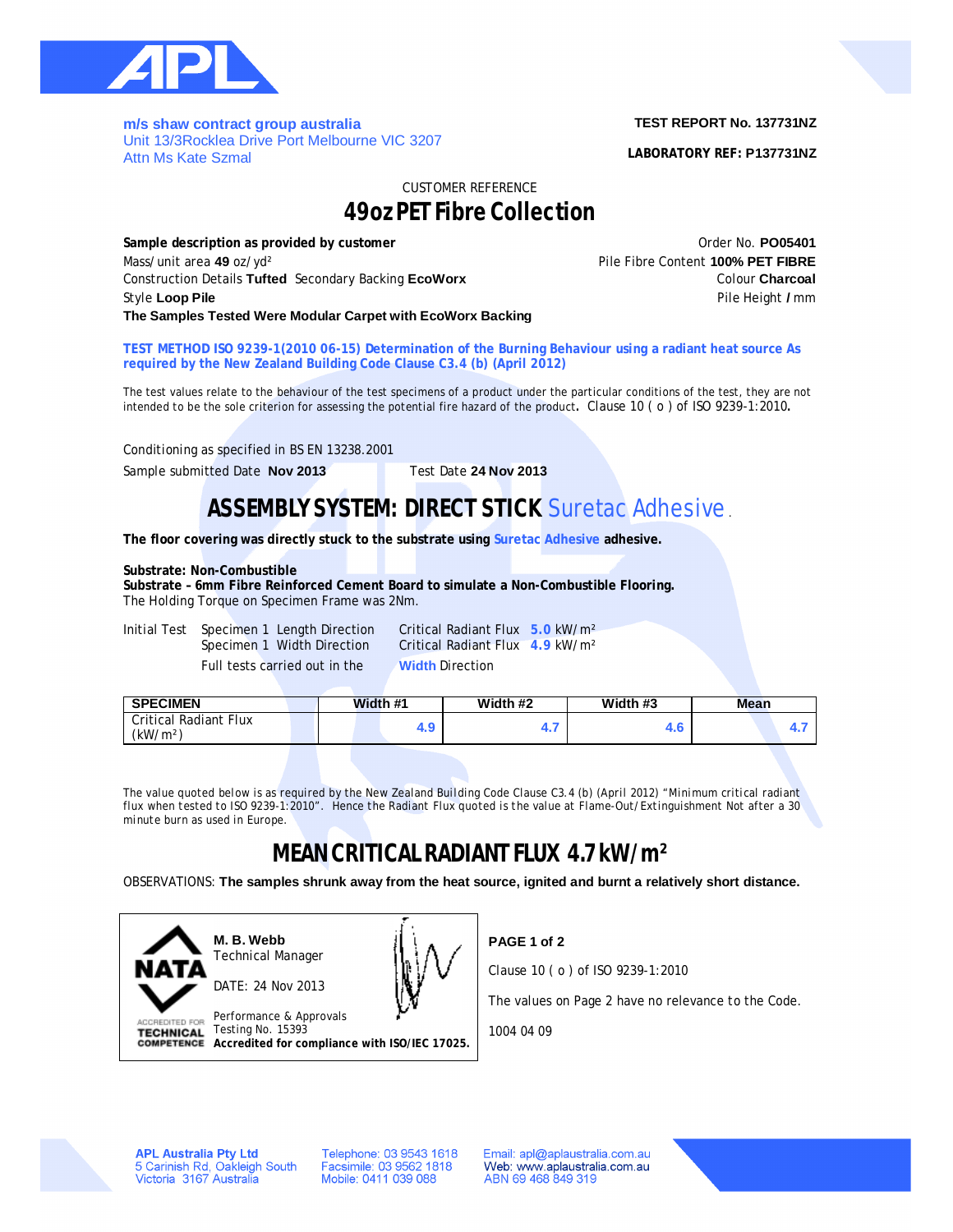

**m/s shaw contract group australia**  Unit 13/3Rocklea Drive Port Melbourne VIC 3207 Attn Ms Kate Szmal

### **TEST REPORT No. 137731NZ**

**LABORATORY REF: P137731NZ**

CUSTOMER REFERENCE

# **49oz PET Fibre Collection**

**Sample description as provided by customer Community Community Community Community Community Community Community Community Community Community Community Community Community Community Community Community Community Commun** Mass/unit area **49** oz/yd² Pile Fibre Content **100% PET FIBRE** Construction Details **Tufted** Secondary Backing **EcoWorx** Colour **Charcoal** Style **Loop Pile** Pile Height **/** mm **The Samples Tested Were Modular Carpet with EcoWorx Backing**

**TEST METHOD ISO 9239-1(2010 06-15) Determination of the Burning Behaviour using a radiant heat source As required by the New Zealand Building Code Clause C3.4 (b) (April 2012)**

The test values relate to the behaviour of the test specimens of a product under the particular conditions of the test, they are not intended to be the sole criterion for assessing the potential fire hazard of the product**.** Clause 10 ( o ) of ISO 9239-1:2010**.**

Conditioning as specified in BS EN 13238.2001

Sample submitted Date **Nov 2013** Test Date **24 Nov 2013**

### **ASSEMBLY SYSTEM: DIRECT STICK** Suretac Adhesive .

**The floor covering was directly stuck to the substrate using Suretac Adhesive adhesive.**

### **Substrate: Non-Combustible**

**Substrate – 6mm Fibre Reinforced Cement Board to simulate a Non-Combustible Flooring.** The Holding Torque on Specimen Frame was 2Nm.

Initial Test Specimen 1 Length Direction Critical Radiant Flux **5.0** kW/m²

Critical Radiant Flux 4.9 kW/m<sup>2</sup>

Full tests carried out in the **Width** Direction

| <b>SPECIMEN</b>                               | Width #1 | Width #2 | Width #3 | Mean |  |
|-----------------------------------------------|----------|----------|----------|------|--|
| Critical Radiant Flux<br>(kW/m <sup>2</sup> ) |          | <br>. .  | 9.U      |      |  |
|                                               |          |          |          |      |  |

*The value quoted below is as required by the New Zealand Building Code Clause C3.4 (b) (April 2012) "Minimum critical radiant flux when tested to ISO 9239-1:2010". Hence the Radiant Flux quoted is the value at Flame-Out/Extinguishment Not after a 30 minute burn as used in Europe.*

## **MEAN CRITICAL RADIANT FLUX 4.7 kW/m²**

OBSERVATIONS: **The samples shrunk away from the heat source, ignited and burnt a relatively short distance.**



**M. B. Webb** Technical Manager DATE: 24 Nov 2013



Performance & Approvals **ACCREDITED FOR** TECHNICAL Testing No. 15393 **Accredited for compliance with ISO/IEC 17025.** **PAGE 1 of 2**

Clause 10 ( o ) of ISO 9239-1:2010

The values on Page 2 have no relevance to the Code.

1004 04 09

**APL Australia Pty Ltd** 5 Carinish Rd, Oakleigh South<br>Victoria 3167 Australia Telephone: 03 9543 1618 Facsimile: 03 9562 1818 Mobile: 0411 039 088

Email: apl@aplaustralia.com.au Web: www.aplaustralia.com.au ABN 69 468 849 319